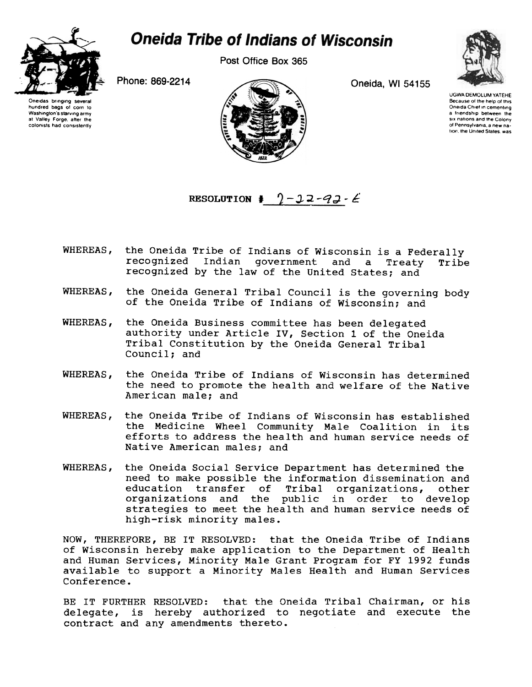

## **Oneida Tribe of Indians of Wisconsin**

Post Office Box 365

Oneidas bringing several hundred bags of corn to<br>Washington's starving army Washington's starving army at Valley Forge, alter the colonists had consistently





UGWA DEMOLUM YATEHE Because of the help of this Oneida Chief in cementing a friendship between the SIX nations and the Colony 01 Pennsylvania a new nation, the United States, was

RESOLUTION  $\ddagger$   $2-22-92-6$ 

- WHEREAS, the Oneida Tribe of Indians of Wisconsin is a Federally recognized Indian government and a Treaty Tribe recognized by the law of the United States; and
- WHEREAS, the Oneida General Tribal Council is the governing body of the Oneida Tribe of Indians of Wisconsin; and
- WHEREAS, the Oneida Business committee has been delegated authority under Article IV, Section 1 of the Oneida Tribal Constitution by the Oneida General Tribal Council: and
- WHEREAS, the Oneida Tribe of Indians of Wisconsin has determined the need to promote the health and welfare of the Native American male; and
- WHEREAS, the Oneida Tribe of Indians of Wisconsin has established the Medicine Wheel Community Male Coalition in its efforts to address the health and human service needs of Native American males; and
- WHEREAS. the Oneida Social Service Department has determined the need to make possible the information dissemination and education transfer of Tribal organizations, other organizations and the public in order to develop strategies to meet the health and human service needs of high-risk minority males.

NOW, THEREFORE, BE IT RESOLVED: that the Oneida Tribe of Indians of Wisconsin hereby make application to the Department of Health and Human Services, Minority Male Grant Program for FY 1992 funds available to support a Minority Males Health and Human Services Conference.

BE IT FURTHER RESOLVED: that the Oneida Tribal Chairman, or his delegate, is hereby authorized to negotiate and execute the contract and any amendments thereto.